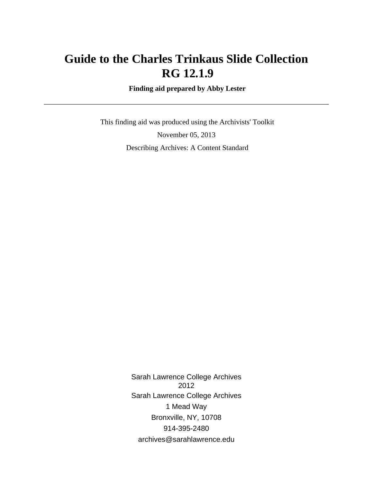# **Guide to the Charles Trinkaus Slide Collection RG 12.1.9**

 **Finding aid prepared by Abby Lester**

 This finding aid was produced using the Archivists' Toolkit November 05, 2013 Describing Archives: A Content Standard

> Sarah Lawrence College Archives 2012 Sarah Lawrence College Archives 1 Mead Way Bronxville, NY, 10708 914-395-2480 archives@sarahlawrence.edu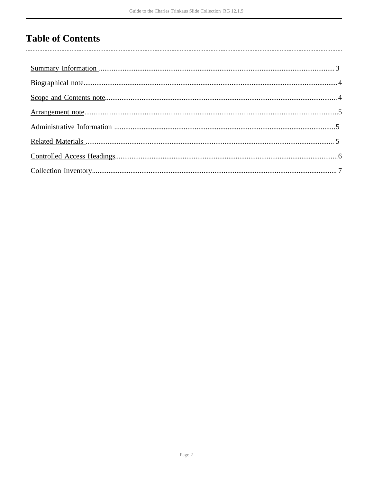# **Table of Contents**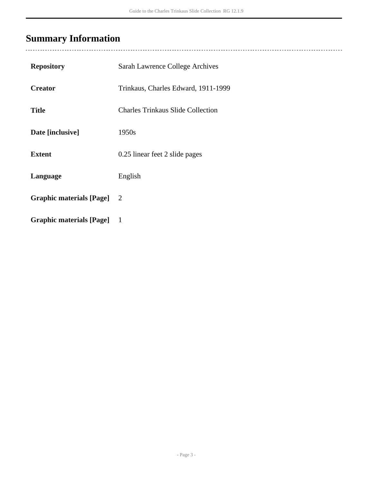# <span id="page-2-0"></span>**Summary Information**

| <b>Repository</b>               | Sarah Lawrence College Archives          |
|---------------------------------|------------------------------------------|
| <b>Creator</b>                  | Trinkaus, Charles Edward, 1911-1999      |
| <b>Title</b>                    | <b>Charles Trinkaus Slide Collection</b> |
| Date [inclusive]                | 1950s                                    |
| <b>Extent</b>                   | 0.25 linear feet 2 slide pages           |
| Language                        | English                                  |
| <b>Graphic materials [Page]</b> | $\overline{2}$                           |
| <b>Graphic materials [Page]</b> | $\mathbf{1}$                             |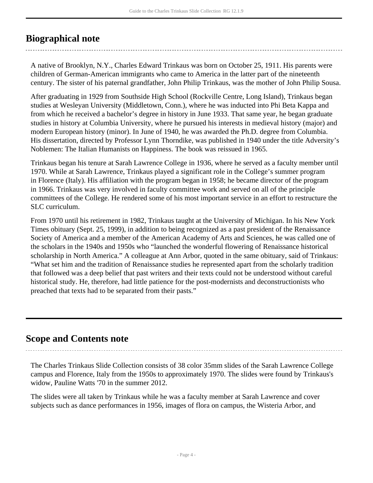# <span id="page-3-0"></span>**Biographical note**

A native of Brooklyn, N.Y., Charles Edward Trinkaus was born on October 25, 1911. His parents were children of German-American immigrants who came to America in the latter part of the nineteenth century. The sister of his paternal grandfather, John Philip Trinkaus, was the mother of John Philip Sousa.

After graduating in 1929 from Southside High School (Rockville Centre, Long Island), Trinkaus began studies at Wesleyan University (Middletown, Conn.), where he was inducted into Phi Beta Kappa and from which he received a bachelor's degree in history in June 1933. That same year, he began graduate studies in history at Columbia University, where he pursued his interests in medieval history (major) and modern European history (minor). In June of 1940, he was awarded the Ph.D. degree from Columbia. His dissertation, directed by Professor Lynn Thorndike, was published in 1940 under the title Adversity's Noblemen: The Italian Humanists on Happiness. The book was reissued in 1965.

Trinkaus began his tenure at Sarah Lawrence College in 1936, where he served as a faculty member until 1970. While at Sarah Lawrence, Trinkaus played a significant role in the College's summer program in Florence (Italy). His affiliation with the program began in 1958; he became director of the program in 1966. Trinkaus was very involved in faculty committee work and served on all of the principle committees of the College. He rendered some of his most important service in an effort to restructure the SLC curriculum.

From 1970 until his retirement in 1982, Trinkaus taught at the University of Michigan. In his New York Times obituary (Sept. 25, 1999), in addition to being recognized as a past president of the Renaissance Society of America and a member of the American Academy of Arts and Sciences, he was called one of the scholars in the 1940s and 1950s who "launched the wonderful flowering of Renaissance historical scholarship in North America." A colleague at Ann Arbor, quoted in the same obituary, said of Trinkaus: "What set him and the tradition of Renaissance studies he represented apart from the scholarly tradition that followed was a deep belief that past writers and their texts could not be understood without careful historical study. He, therefore, had little patience for the post-modernists and deconstructionists who preached that texts had to be separated from their pasts."

## <span id="page-3-1"></span>**Scope and Contents note**

The Charles Trinkaus Slide Collection consists of 38 color 35mm slides of the Sarah Lawrence College campus and Florence, Italy from the 1950s to approximately 1970. The slides were found by Trinkaus's widow, Pauline Watts '70 in the summer 2012.

The slides were all taken by Trinkaus while he was a faculty member at Sarah Lawrence and cover subjects such as dance performances in 1956, images of flora on campus, the Wisteria Arbor, and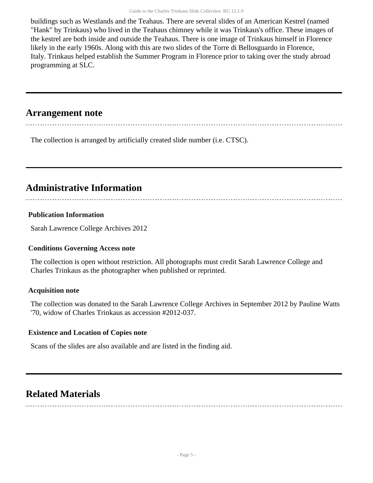buildings such as Westlands and the Teahaus. There are several slides of an American Kestrel (named "Hank" by Trinkaus) who lived in the Teahaus chimney while it was Trinkaus's office. These images of the kestrel are both inside and outside the Teahaus. There is one image of Trinkaus himself in Florence likely in the early 1960s. Along with this are two slides of the Torre di Bellosguardo in Florence, Italy. Trinkaus helped establish the Summer Program in Florence prior to taking over the study abroad programming at SLC.

## <span id="page-4-0"></span>**Arrangement note**

The collection is arranged by artificially created slide number (i.e. CTSC).

## <span id="page-4-1"></span>**Administrative Information**

### **Publication Information**

Sarah Lawrence College Archives 2012

#### **Conditions Governing Access note**

The collection is open without restriction. All photographs must credit Sarah Lawrence College and Charles Trinkaus as the photographer when published or reprinted.

#### **Acquisition note**

The collection was donated to the Sarah Lawrence College Archives in September 2012 by Pauline Watts '70, widow of Charles Trinkaus as accession #2012-037.

#### **Existence and Location of Copies note**

Scans of the slides are also available and are listed in the finding aid.

## <span id="page-4-2"></span>**Related Materials**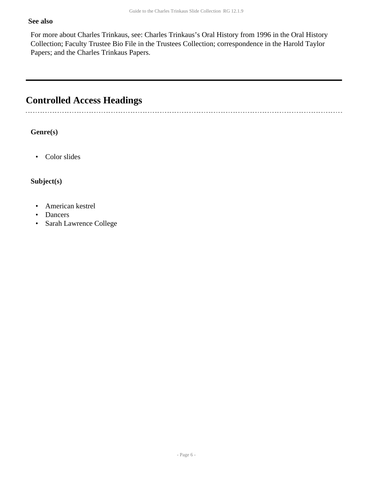#### **See also**

For more about Charles Trinkaus, see: Charles Trinkaus's Oral History from 1996 in the Oral History Collection; Faculty Trustee Bio File in the Trustees Collection; correspondence in the Harold Taylor Papers; and the Charles Trinkaus Papers.

# <span id="page-5-0"></span>**Controlled Access Headings**

**Genre(s)**

. . . . . . . . . . . . . . . .

• Color slides

**Subject(s)**

- American kestrel
- Dancers
- Sarah Lawrence College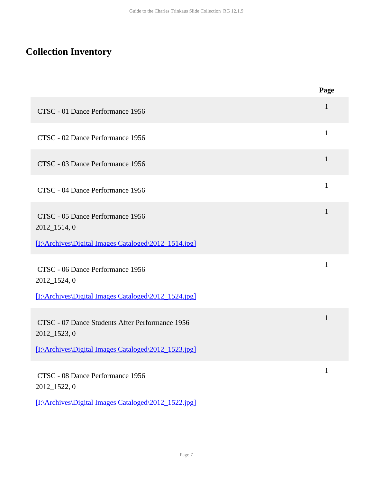# <span id="page-6-0"></span>**Collection Inventory**

|                                                                 | Page         |
|-----------------------------------------------------------------|--------------|
| CTSC - 01 Dance Performance 1956                                | $\mathbf{1}$ |
| CTSC - 02 Dance Performance 1956                                | $\mathbf{1}$ |
| CTSC - 03 Dance Performance 1956                                | $\mathbf{1}$ |
| CTSC - 04 Dance Performance 1956                                | $\mathbf{1}$ |
| CTSC - 05 Dance Performance 1956<br>2012_1514, 0                | $\mathbf{1}$ |
| [I:\Archives\Digital Images Cataloged\2012_1514.jpg]            |              |
| CTSC - 06 Dance Performance 1956<br>2012_1524, 0                | 1            |
| [I:\Archives\Digital Images Cataloged\2012_1524.jpg]            |              |
| CTSC - 07 Dance Students After Performance 1956<br>2012_1523, 0 | $\mathbf{1}$ |
| [I:\Archives\Digital Images Cataloged\2012_1523.jpg]            |              |
| CTSC - 08 Dance Performance 1956<br>2012_1522, 0                | 1            |
| [I:\Archives\Digital Images Cataloged\2012_1522.jpg]            |              |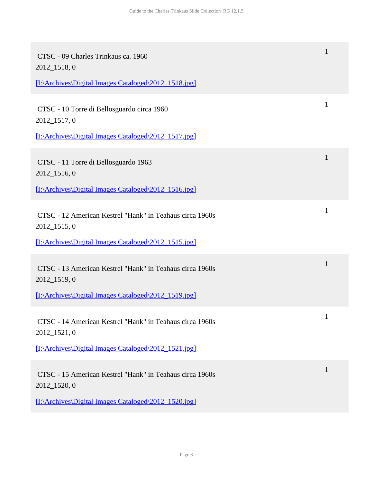| CTSC - 09 Charles Trinkaus ca. 1960<br>2012_1518, 0                      |              |
|--------------------------------------------------------------------------|--------------|
| [I:\Archives\Digital Images Cataloged\2012_1518.jpg]                     |              |
| CTSC - 10 Torre di Bellosguardo circa 1960<br>2012_1517, 0               | 1            |
| [I:\Archives\Digital Images Cataloged\2012_1517.jpg]                     |              |
| CTSC - 11 Torre di Bellosguardo 1963<br>2012_1516, 0                     | 1            |
| [I:\Archives\Digital Images Cataloged\2012_1516.jpg]                     |              |
| CTSC - 12 American Kestrel "Hank" in Teahaus circa 1960s<br>2012_1515, 0 | 1            |
| [I:\Archives\Digital Images Cataloged\2012_1515.jpg]                     |              |
| CTSC - 13 American Kestrel "Hank" in Teahaus circa 1960s<br>2012_1519, 0 | $\mathbf{1}$ |
| [I:\Archives\Digital Images Cataloged\2012_1519.jpg]                     |              |
| CTSC - 14 American Kestrel "Hank" in Teahaus circa 1960s<br>2012_1521, 0 |              |
| [I:\Archives\Digital Images Cataloged\2012_1521.jpg]                     |              |
| CTSC - 15 American Kestrel "Hank" in Teahaus circa 1960s<br>2012_1520, 0 | 1            |
| [I:\Archives\Digital Images Cataloged\2012_1520.jpg]                     |              |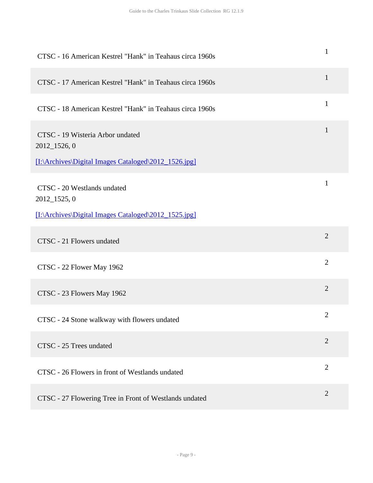| CTSC - 16 American Kestrel "Hank" in Teahaus circa 1960s                                                 | $\mathbf{1}$   |
|----------------------------------------------------------------------------------------------------------|----------------|
| CTSC - 17 American Kestrel "Hank" in Teahaus circa 1960s                                                 | $\mathbf{1}$   |
| CTSC - 18 American Kestrel "Hank" in Teahaus circa 1960s                                                 | $\mathbf{1}$   |
| CTSC - 19 Wisteria Arbor undated<br>2012_1526, 0<br>[I:\Archives\Digital Images Cataloged\2012_1526.jpg] | $\mathbf{1}$   |
| CTSC - 20 Westlands undated<br>2012_1525, 0<br>[I:\Archives\Digital Images Cataloged\2012_1525.jpg]      | $\mathbf{1}$   |
| CTSC - 21 Flowers undated                                                                                | $\overline{2}$ |
| CTSC - 22 Flower May 1962                                                                                | $\overline{2}$ |
| CTSC - 23 Flowers May 1962                                                                               | $\overline{2}$ |
| CTSC - 24 Stone walkway with flowers undated                                                             | $\mathbf{2}$   |
| CTSC - 25 Trees undated                                                                                  | $\overline{2}$ |
| CTSC - 26 Flowers in front of Westlands undated                                                          | $\overline{2}$ |
| CTSC - 27 Flowering Tree in Front of Westlands undated                                                   | $\overline{2}$ |